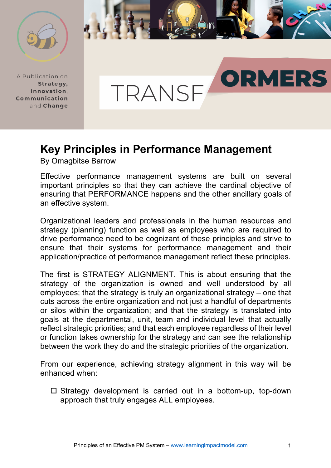

A Publication on Strategy, Innovation. Communication and Change



## **Key Principles in Performance Management**

By Omagbitse Barrow

Effective performance management systems are built on several important principles so that they can achieve the cardinal objective of ensuring that PERFORMANCE happens and the other ancillary goals of an effective system.

Organizational leaders and professionals in the human resources and strategy (planning) function as well as employees who are required to drive performance need to be cognizant of these principles and strive to ensure that their systems for performance management and their application/practice of performance management reflect these principles.

The first is STRATEGY ALIGNMENT. This is about ensuring that the strategy of the organization is owned and well understood by all employees; that the strategy is truly an organizational strategy – one that cuts across the entire organization and not just a handful of departments or silos within the organization; and that the strategy is translated into goals at the departmental, unit, team and individual level that actually reflect strategic priorities; and that each employee regardless of their level or function takes ownership for the strategy and can see the relationship between the work they do and the strategic priorities of the organization.

From our experience, achieving strategy alignment in this way will be enhanced when:

 $\square$  Strategy development is carried out in a bottom-up, top-down approach that truly engages ALL employees.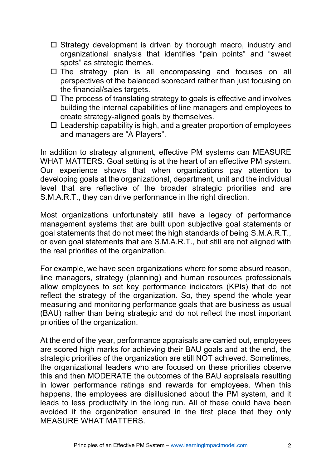- $\Box$  Strategy development is driven by thorough macro, industry and organizational analysis that identifies "pain points" and "sweet spots" as strategic themes.
- $\square$  The strategy plan is all encompassing and focuses on all perspectives of the balanced scorecard rather than just focusing on the financial/sales targets.
- $\Box$  The process of translating strategy to goals is effective and involves building the internal capabilities of line managers and employees to create strategy-aligned goals by themselves.
- $\Box$  Leadership capability is high, and a greater proportion of employees and managers are "A Players".

In addition to strategy alignment, effective PM systems can MEASURE WHAT MATTERS. Goal setting is at the heart of an effective PM system. Our experience shows that when organizations pay attention to developing goals at the organizational, department, unit and the individual level that are reflective of the broader strategic priorities and are S.M.A.R.T., they can drive performance in the right direction.

Most organizations unfortunately still have a legacy of performance management systems that are built upon subjective goal statements or goal statements that do not meet the high standards of being S.M.A.R.T., or even goal statements that are S.M.A.R.T., but still are not aligned with the real priorities of the organization.

For example, we have seen organizations where for some absurd reason, line managers, strategy (planning) and human resources professionals allow employees to set key performance indicators (KPIs) that do not reflect the strategy of the organization. So, they spend the whole year measuring and monitoring performance goals that are business as usual (BAU) rather than being strategic and do not reflect the most important priorities of the organization.

At the end of the year, performance appraisals are carried out, employees are scored high marks for achieving their BAU goals and at the end, the strategic priorities of the organization are still NOT achieved. Sometimes, the organizational leaders who are focused on these priorities observe this and then MODERATE the outcomes of the BAU appraisals resulting in lower performance ratings and rewards for employees. When this happens, the employees are disillusioned about the PM system, and it leads to less productivity in the long run. All of these could have been avoided if the organization ensured in the first place that they only MEASURE WHAT MATTERS.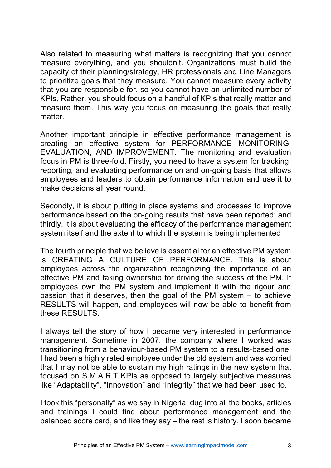Also related to measuring what matters is recognizing that you cannot measure everything, and you shouldn't. Organizations must build the capacity of their planning/strategy, HR professionals and Line Managers to prioritize goals that they measure. You cannot measure every activity that you are responsible for, so you cannot have an unlimited number of KPIs. Rather, you should focus on a handful of KPIs that really matter and measure them. This way you focus on measuring the goals that really matter.

Another important principle in effective performance management is creating an effective system for PERFORMANCE MONITORING, EVALUATION, AND IMPROVEMENT. The monitoring and evaluation focus in PM is three-fold. Firstly, you need to have a system for tracking, reporting, and evaluating performance on and on-going basis that allows employees and leaders to obtain performance information and use it to make decisions all year round.

Secondly, it is about putting in place systems and processes to improve performance based on the on-going results that have been reported; and thirdly, it is about evaluating the efficacy of the performance management system itself and the extent to which the system is being implemented

The fourth principle that we believe is essential for an effective PM system is CREATING A CULTURE OF PERFORMANCE. This is about employees across the organization recognizing the importance of an effective PM and taking ownership for driving the success of the PM. If employees own the PM system and implement it with the rigour and passion that it deserves, then the goal of the PM system – to achieve RESULTS will happen, and employees will now be able to benefit from these RESULTS.

I always tell the story of how I became very interested in performance management. Sometime in 2007, the company where I worked was transitioning from a behaviour-based PM system to a results-based one. I had been a highly rated employee under the old system and was worried that I may not be able to sustain my high ratings in the new system that focused on S.M.A.R.T KPIs as opposed to largely subjective measures like "Adaptability", "Innovation" and "Integrity" that we had been used to.

I took this "personally" as we say in Nigeria, dug into all the books, articles and trainings I could find about performance management and the balanced score card, and like they say – the rest is history. I soon became